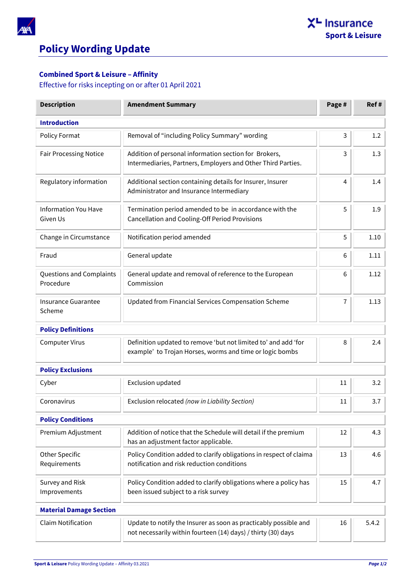

**AXA** 

## **Combined Sport & Leisure – Affinity**

Effective for risks incepting on or after 01 April 2021

| <b>Description</b>                      | <b>Amendment Summary</b>                                                                                                          | Page #         | Ref#   |  |  |
|-----------------------------------------|-----------------------------------------------------------------------------------------------------------------------------------|----------------|--------|--|--|
| <b>Introduction</b>                     |                                                                                                                                   |                |        |  |  |
| Policy Format                           | Removal of "including Policy Summary" wording                                                                                     | 3              | 1.2    |  |  |
| <b>Fair Processing Notice</b>           | Addition of personal information section for Brokers,<br>Intermediaries, Partners, Employers and Other Third Parties.             | 3              | 1.3    |  |  |
| Regulatory information                  | Additional section containing details for Insurer, Insurer<br>Administrator and Insurance Intermediary                            | 4              | 1.4    |  |  |
| <b>Information You Have</b><br>Given Us | Termination period amended to be in accordance with the<br><b>Cancellation and Cooling-Off Period Provisions</b>                  | 5              | 1.9    |  |  |
| Change in Circumstance                  | Notification period amended                                                                                                       | 5              | 1.10   |  |  |
| Fraud                                   | General update                                                                                                                    | 6              | $1.11$ |  |  |
| Questions and Complaints<br>Procedure   | General update and removal of reference to the European<br>Commission                                                             | 6              | 1.12   |  |  |
| <b>Insurance Guarantee</b><br>Scheme    | Updated from Financial Services Compensation Scheme                                                                               | $\overline{1}$ | 1.13   |  |  |
| <b>Policy Definitions</b>               |                                                                                                                                   |                |        |  |  |
| <b>Computer Virus</b>                   | Definition updated to remove 'but not limited to' and add 'for<br>example' to Trojan Horses, worms and time or logic bombs        | 8              | 2.4    |  |  |
| <b>Policy Exclusions</b>                |                                                                                                                                   |                |        |  |  |
| Cyber                                   | Exclusion updated                                                                                                                 | 11             | 3.2    |  |  |
| Coronavirus                             | Exclusion relocated (now in Liability Section)                                                                                    | 11             | 3.7    |  |  |
| <b>Policy Conditions</b>                |                                                                                                                                   |                |        |  |  |
| Premium Adjustment                      | Addition of notice that the Schedule will detail if the premium<br>has an adjustment factor applicable.                           | 12             | 4.3    |  |  |
| Other Specific<br>Requirements          | Policy Condition added to clarify obligations in respect of claima<br>notification and risk reduction conditions                  | 13             | 4.6    |  |  |
| Survey and Risk<br>Improvements         | Policy Condition added to clarify obligations where a policy has<br>been issued subject to a risk survey                          | 15             | 4.7    |  |  |
| <b>Material Damage Section</b>          |                                                                                                                                   |                |        |  |  |
| <b>Claim Notification</b>               | Update to notify the Insurer as soon as practicably possible and<br>not necessarily within fourteen (14) days) / thirty (30) days | 16             | 5.4.2  |  |  |